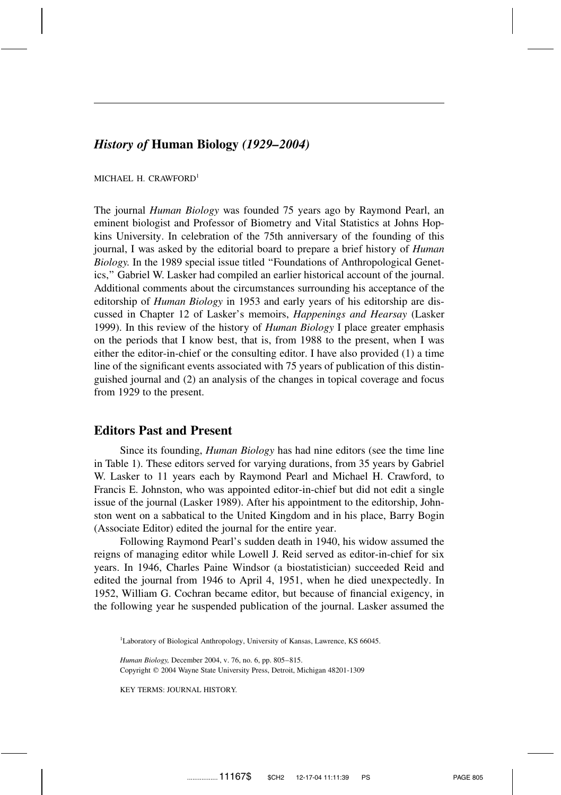# *History of* **Human Biology** *(1929–2004)*

MICHAEL H. CRAWFORD<sup>1</sup>

The journal *Human Biology* was founded 75 years ago by Raymond Pearl, an eminent biologist and Professor of Biometry and Vital Statistics at Johns Hopkins University. In celebration of the 75th anniversary of the founding of this journal, I was asked by the editorial board to prepare a brief history of *Human Biology.* In the 1989 special issue titled ''Foundations of Anthropological Genetics,'' Gabriel W. Lasker had compiled an earlier historical account of the journal. Additional comments about the circumstances surrounding his acceptance of the editorship of *Human Biology* in 1953 and early years of his editorship are discussed in Chapter 12 of Lasker's memoirs, *Happenings and Hearsay* (Lasker 1999). In this review of the history of *Human Biology* I place greater emphasis on the periods that I know best, that is, from 1988 to the present, when I was either the editor-in-chief or the consulting editor. I have also provided (1) a time line of the significant events associated with 75 years of publication of this distinguished journal and (2) an analysis of the changes in topical coverage and focus from 1929 to the present.

# **Editors Past and Present**

Since its founding, *Human Biology* has had nine editors (see the time line in Table 1). These editors served for varying durations, from 35 years by Gabriel W. Lasker to 11 years each by Raymond Pearl and Michael H. Crawford, to Francis E. Johnston, who was appointed editor-in-chief but did not edit a single issue of the journal (Lasker 1989). After his appointment to the editorship, Johnston went on a sabbatical to the United Kingdom and in his place, Barry Bogin (Associate Editor) edited the journal for the entire year.

Following Raymond Pearl's sudden death in 1940, his widow assumed the reigns of managing editor while Lowell J. Reid served as editor-in-chief for six years. In 1946, Charles Paine Windsor (a biostatistician) succeeded Reid and edited the journal from 1946 to April 4, 1951, when he died unexpectedly. In 1952, William G. Cochran became editor, but because of financial exigency, in the following year he suspended publication of the journal. Lasker assumed the

<sup>1</sup>Laboratory of Biological Anthropology, University of Kansas, Lawrence, KS 66045.

*Human Biology,* December 2004, v. 76, no. 6, pp. 805–815. Copyright 2004 Wayne State University Press, Detroit, Michigan 48201-1309

KEY TERMS: JOURNAL HISTORY.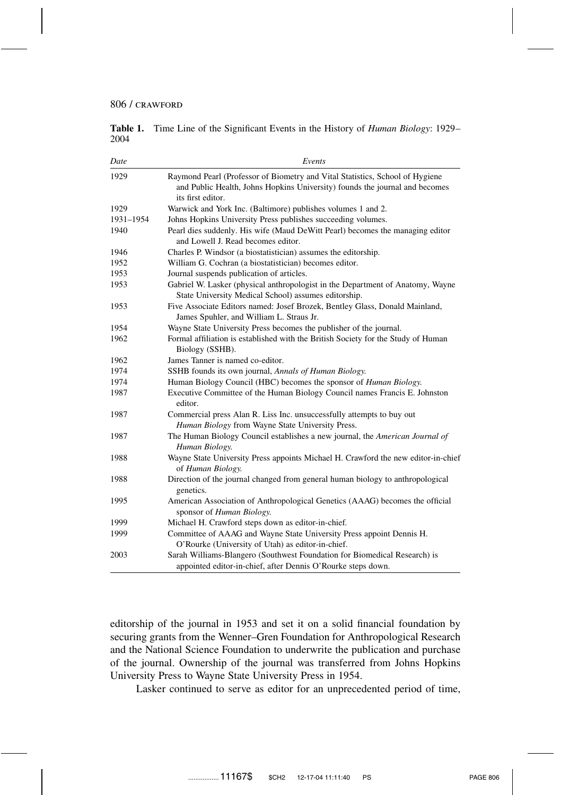**Table 1.** Time Line of the Significant Events in the History of *Human Biology*: 1929– 2004

| Date      | Events                                                                                                                                                                           |
|-----------|----------------------------------------------------------------------------------------------------------------------------------------------------------------------------------|
| 1929      | Raymond Pearl (Professor of Biometry and Vital Statistics, School of Hygiene<br>and Public Health, Johns Hopkins University) founds the journal and becomes<br>its first editor. |
| 1929      | Warwick and York Inc. (Baltimore) publishes volumes 1 and 2.                                                                                                                     |
| 1931-1954 | Johns Hopkins University Press publishes succeeding volumes.                                                                                                                     |
| 1940      | Pearl dies suddenly. His wife (Maud DeWitt Pearl) becomes the managing editor<br>and Lowell J. Read becomes editor.                                                              |
| 1946      | Charles P. Windsor (a biostatistician) assumes the editorship.                                                                                                                   |
| 1952      | William G. Cochran (a biostatistician) becomes editor.                                                                                                                           |
| 1953      | Journal suspends publication of articles.                                                                                                                                        |
| 1953      | Gabriel W. Lasker (physical anthropologist in the Department of Anatomy, Wayne<br>State University Medical School) assumes editorship.                                           |
| 1953      | Five Associate Editors named: Josef Brozek, Bentley Glass, Donald Mainland,<br>James Spuhler, and William L. Straus Jr.                                                          |
| 1954      | Wayne State University Press becomes the publisher of the journal.                                                                                                               |
| 1962      | Formal affiliation is established with the British Society for the Study of Human<br>Biology (SSHB).                                                                             |
| 1962      | James Tanner is named co-editor.                                                                                                                                                 |
| 1974      | SSHB founds its own journal, Annals of Human Biology.                                                                                                                            |
| 1974      | Human Biology Council (HBC) becomes the sponsor of <i>Human Biology</i> .                                                                                                        |
| 1987      | Executive Committee of the Human Biology Council names Francis E. Johnston<br>editor.                                                                                            |
| 1987      | Commercial press Alan R. Liss Inc. unsuccessfully attempts to buy out<br>Human Biology from Wayne State University Press.                                                        |
| 1987      | The Human Biology Council establishes a new journal, the American Journal of<br>Human Biology.                                                                                   |
| 1988      | Wayne State University Press appoints Michael H. Crawford the new editor-in-chief<br>of Human Biology.                                                                           |
| 1988      | Direction of the journal changed from general human biology to anthropological<br>genetics.                                                                                      |
| 1995      | American Association of Anthropological Genetics (AAAG) becomes the official<br>sponsor of Human Biology.                                                                        |
| 1999      | Michael H. Crawford steps down as editor-in-chief.                                                                                                                               |
| 1999      | Committee of AAAG and Wayne State University Press appoint Dennis H.<br>O'Rourke (University of Utah) as editor-in-chief.                                                        |
| 2003      | Sarah Williams-Blangero (Southwest Foundation for Biomedical Research) is<br>appointed editor-in-chief, after Dennis O'Rourke steps down.                                        |

editorship of the journal in 1953 and set it on a solid financial foundation by securing grants from the Wenner–Gren Foundation for Anthropological Research and the National Science Foundation to underwrite the publication and purchase of the journal. Ownership of the journal was transferred from Johns Hopkins University Press to Wayne State University Press in 1954.

Lasker continued to serve as editor for an unprecedented period of time,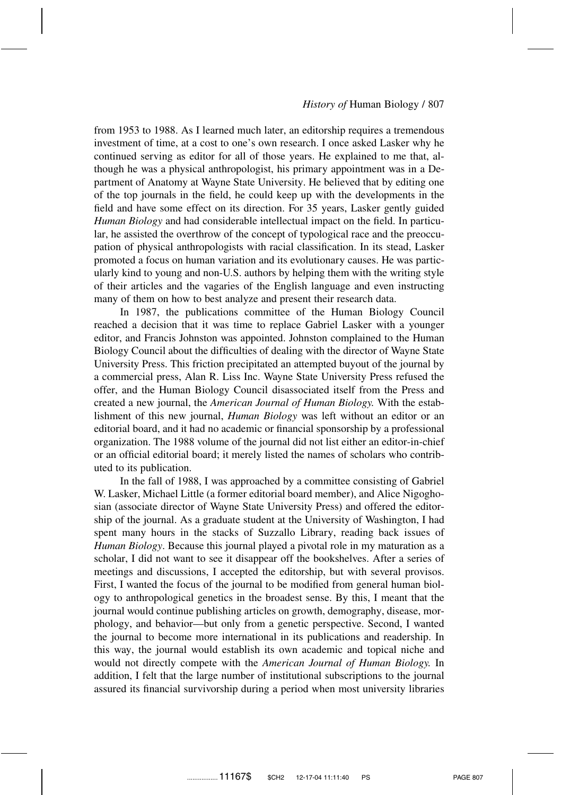from 1953 to 1988. As I learned much later, an editorship requires a tremendous investment of time, at a cost to one's own research. I once asked Lasker why he continued serving as editor for all of those years. He explained to me that, although he was a physical anthropologist, his primary appointment was in a Department of Anatomy at Wayne State University. He believed that by editing one of the top journals in the field, he could keep up with the developments in the field and have some effect on its direction. For 35 years, Lasker gently guided *Human Biology* and had considerable intellectual impact on the field. In particular, he assisted the overthrow of the concept of typological race and the preoccupation of physical anthropologists with racial classification. In its stead, Lasker promoted a focus on human variation and its evolutionary causes. He was particularly kind to young and non-U.S. authors by helping them with the writing style of their articles and the vagaries of the English language and even instructing many of them on how to best analyze and present their research data.

In 1987, the publications committee of the Human Biology Council reached a decision that it was time to replace Gabriel Lasker with a younger editor, and Francis Johnston was appointed. Johnston complained to the Human Biology Council about the difficulties of dealing with the director of Wayne State University Press. This friction precipitated an attempted buyout of the journal by a commercial press, Alan R. Liss Inc. Wayne State University Press refused the offer, and the Human Biology Council disassociated itself from the Press and created a new journal, the *American Journal of Human Biology.* With the establishment of this new journal, *Human Biology* was left without an editor or an editorial board, and it had no academic or financial sponsorship by a professional organization. The 1988 volume of the journal did not list either an editor-in-chief or an official editorial board; it merely listed the names of scholars who contributed to its publication.

In the fall of 1988, I was approached by a committee consisting of Gabriel W. Lasker, Michael Little (a former editorial board member), and Alice Nigoghosian (associate director of Wayne State University Press) and offered the editorship of the journal. As a graduate student at the University of Washington, I had spent many hours in the stacks of Suzzallo Library, reading back issues of *Human Biology*. Because this journal played a pivotal role in my maturation as a scholar, I did not want to see it disappear off the bookshelves. After a series of meetings and discussions, I accepted the editorship, but with several provisos. First, I wanted the focus of the journal to be modified from general human biology to anthropological genetics in the broadest sense. By this, I meant that the journal would continue publishing articles on growth, demography, disease, morphology, and behavior—but only from a genetic perspective. Second, I wanted the journal to become more international in its publications and readership. In this way, the journal would establish its own academic and topical niche and would not directly compete with the *American Journal of Human Biology.* In addition, I felt that the large number of institutional subscriptions to the journal assured its financial survivorship during a period when most university libraries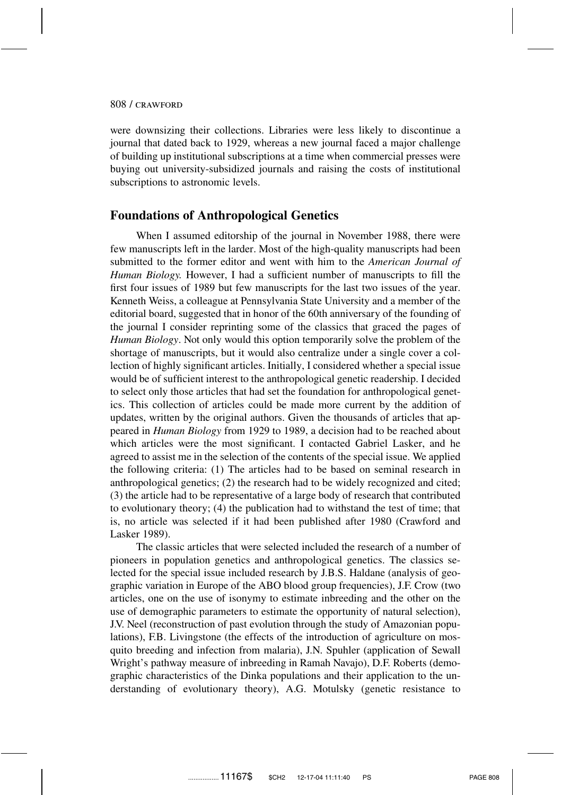were downsizing their collections. Libraries were less likely to discontinue a journal that dated back to 1929, whereas a new journal faced a major challenge of building up institutional subscriptions at a time when commercial presses were buying out university-subsidized journals and raising the costs of institutional subscriptions to astronomic levels.

## **Foundations of Anthropological Genetics**

When I assumed editorship of the journal in November 1988, there were few manuscripts left in the larder. Most of the high-quality manuscripts had been submitted to the former editor and went with him to the *American Journal of Human Biology.* However, I had a sufficient number of manuscripts to fill the first four issues of 1989 but few manuscripts for the last two issues of the year. Kenneth Weiss, a colleague at Pennsylvania State University and a member of the editorial board, suggested that in honor of the 60th anniversary of the founding of the journal I consider reprinting some of the classics that graced the pages of *Human Biology*. Not only would this option temporarily solve the problem of the shortage of manuscripts, but it would also centralize under a single cover a collection of highly significant articles. Initially, I considered whether a special issue would be of sufficient interest to the anthropological genetic readership. I decided to select only those articles that had set the foundation for anthropological genetics. This collection of articles could be made more current by the addition of updates, written by the original authors. Given the thousands of articles that appeared in *Human Biology* from 1929 to 1989, a decision had to be reached about which articles were the most significant. I contacted Gabriel Lasker, and he agreed to assist me in the selection of the contents of the special issue. We applied the following criteria: (1) The articles had to be based on seminal research in anthropological genetics; (2) the research had to be widely recognized and cited; (3) the article had to be representative of a large body of research that contributed to evolutionary theory; (4) the publication had to withstand the test of time; that is, no article was selected if it had been published after 1980 (Crawford and Lasker 1989).

The classic articles that were selected included the research of a number of pioneers in population genetics and anthropological genetics. The classics selected for the special issue included research by J.B.S. Haldane (analysis of geographic variation in Europe of the ABO blood group frequencies), J.F. Crow (two articles, one on the use of isonymy to estimate inbreeding and the other on the use of demographic parameters to estimate the opportunity of natural selection), J.V. Neel (reconstruction of past evolution through the study of Amazonian populations), F.B. Livingstone (the effects of the introduction of agriculture on mosquito breeding and infection from malaria), J.N. Spuhler (application of Sewall Wright's pathway measure of inbreeding in Ramah Navajo), D.F. Roberts (demographic characteristics of the Dinka populations and their application to the understanding of evolutionary theory), A.G. Motulsky (genetic resistance to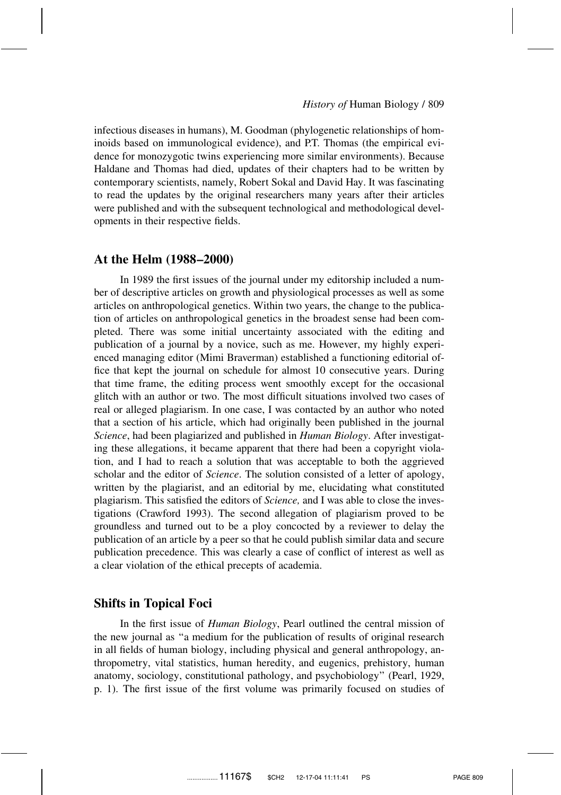infectious diseases in humans), M. Goodman (phylogenetic relationships of hominoids based on immunological evidence), and P.T. Thomas (the empirical evidence for monozygotic twins experiencing more similar environments). Because Haldane and Thomas had died, updates of their chapters had to be written by contemporary scientists, namely, Robert Sokal and David Hay. It was fascinating to read the updates by the original researchers many years after their articles were published and with the subsequent technological and methodological developments in their respective fields.

## **At the Helm (1988–2000)**

In 1989 the first issues of the journal under my editorship included a number of descriptive articles on growth and physiological processes as well as some articles on anthropological genetics. Within two years, the change to the publication of articles on anthropological genetics in the broadest sense had been completed. There was some initial uncertainty associated with the editing and publication of a journal by a novice, such as me. However, my highly experienced managing editor (Mimi Braverman) established a functioning editorial office that kept the journal on schedule for almost 10 consecutive years. During that time frame, the editing process went smoothly except for the occasional glitch with an author or two. The most difficult situations involved two cases of real or alleged plagiarism. In one case, I was contacted by an author who noted that a section of his article, which had originally been published in the journal *Science*, had been plagiarized and published in *Human Biology*. After investigating these allegations, it became apparent that there had been a copyright violation, and I had to reach a solution that was acceptable to both the aggrieved scholar and the editor of *Science*. The solution consisted of a letter of apology, written by the plagiarist, and an editorial by me, elucidating what constituted plagiarism. This satisfied the editors of *Science,* and I was able to close the investigations (Crawford 1993). The second allegation of plagiarism proved to be groundless and turned out to be a ploy concocted by a reviewer to delay the publication of an article by a peer so that he could publish similar data and secure publication precedence. This was clearly a case of conflict of interest as well as a clear violation of the ethical precepts of academia.

## **Shifts in Topical Foci**

In the first issue of *Human Biology*, Pearl outlined the central mission of the new journal as ''a medium for the publication of results of original research in all fields of human biology, including physical and general anthropology, anthropometry, vital statistics, human heredity, and eugenics, prehistory, human anatomy, sociology, constitutional pathology, and psychobiology'' (Pearl, 1929, p. 1). The first issue of the first volume was primarily focused on studies of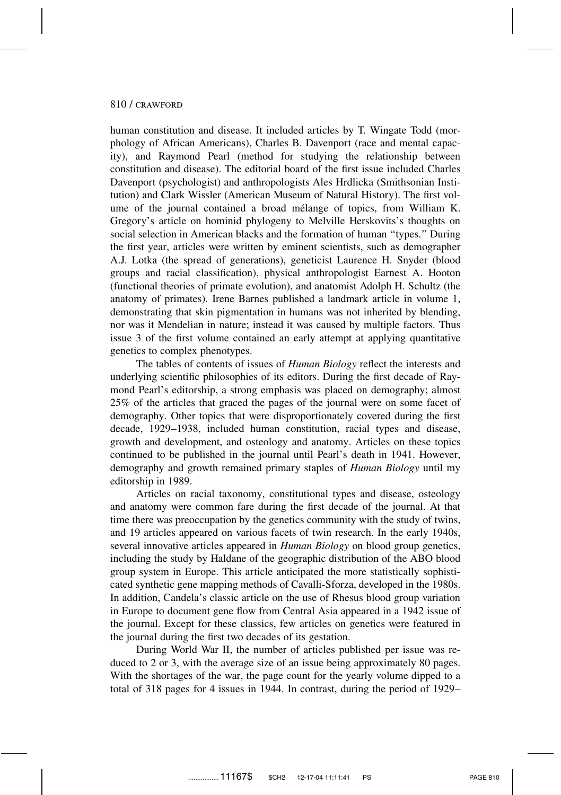human constitution and disease. It included articles by T. Wingate Todd (morphology of African Americans), Charles B. Davenport (race and mental capacity), and Raymond Pearl (method for studying the relationship between constitution and disease). The editorial board of the first issue included Charles Davenport (psychologist) and anthropologists Ales Hrdlicka (Smithsonian Institution) and Clark Wissler (American Museum of Natural History). The first volume of the journal contained a broad mélange of topics, from William K. Gregory's article on hominid phylogeny to Melville Herskovits's thoughts on social selection in American blacks and the formation of human ''types.'' During the first year, articles were written by eminent scientists, such as demographer A.J. Lotka (the spread of generations), geneticist Laurence H. Snyder (blood groups and racial classification), physical anthropologist Earnest A. Hooton (functional theories of primate evolution), and anatomist Adolph H. Schultz (the anatomy of primates). Irene Barnes published a landmark article in volume 1, demonstrating that skin pigmentation in humans was not inherited by blending, nor was it Mendelian in nature; instead it was caused by multiple factors. Thus issue 3 of the first volume contained an early attempt at applying quantitative genetics to complex phenotypes.

The tables of contents of issues of *Human Biology* reflect the interests and underlying scientific philosophies of its editors. During the first decade of Raymond Pearl's editorship, a strong emphasis was placed on demography; almost 25% of the articles that graced the pages of the journal were on some facet of demography. Other topics that were disproportionately covered during the first decade, 1929–1938, included human constitution, racial types and disease, growth and development, and osteology and anatomy. Articles on these topics continued to be published in the journal until Pearl's death in 1941. However, demography and growth remained primary staples of *Human Biology* until my editorship in 1989.

Articles on racial taxonomy, constitutional types and disease, osteology and anatomy were common fare during the first decade of the journal. At that time there was preoccupation by the genetics community with the study of twins, and 19 articles appeared on various facets of twin research. In the early 1940s, several innovative articles appeared in *Human Biology* on blood group genetics, including the study by Haldane of the geographic distribution of the ABO blood group system in Europe. This article anticipated the more statistically sophisticated synthetic gene mapping methods of Cavalli-Sforza, developed in the 1980s. In addition, Candela's classic article on the use of Rhesus blood group variation in Europe to document gene flow from Central Asia appeared in a 1942 issue of the journal. Except for these classics, few articles on genetics were featured in the journal during the first two decades of its gestation.

During World War II, the number of articles published per issue was reduced to 2 or 3, with the average size of an issue being approximately 80 pages. With the shortages of the war, the page count for the yearly volume dipped to a total of 318 pages for 4 issues in 1944. In contrast, during the period of 1929–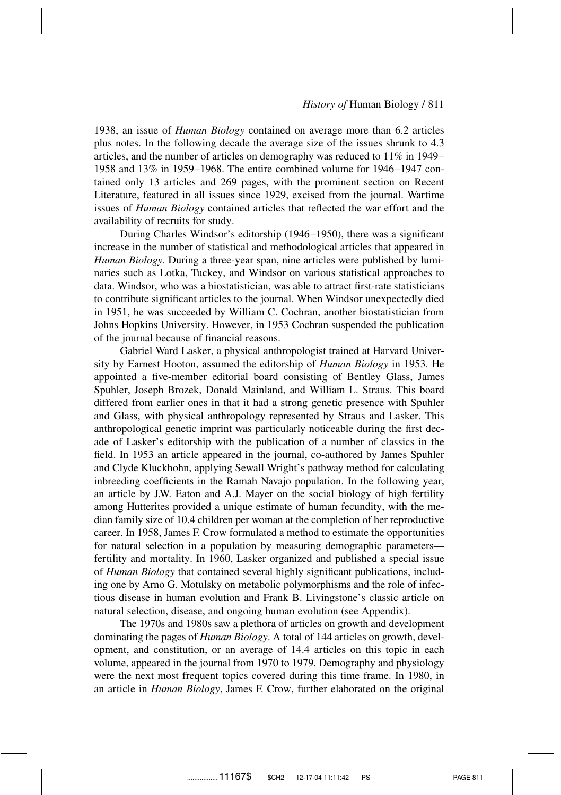1938, an issue of *Human Biology* contained on average more than 6.2 articles plus notes. In the following decade the average size of the issues shrunk to 4.3 articles, and the number of articles on demography was reduced to  $11\%$  in 1949– 1958 and 13% in 1959–1968. The entire combined volume for 1946–1947 contained only 13 articles and 269 pages, with the prominent section on Recent Literature, featured in all issues since 1929, excised from the journal. Wartime issues of *Human Biology* contained articles that reflected the war effort and the availability of recruits for study.

During Charles Windsor's editorship (1946–1950), there was a significant increase in the number of statistical and methodological articles that appeared in *Human Biology*. During a three-year span, nine articles were published by luminaries such as Lotka, Tuckey, and Windsor on various statistical approaches to data. Windsor, who was a biostatistician, was able to attract first-rate statisticians to contribute significant articles to the journal. When Windsor unexpectedly died in 1951, he was succeeded by William C. Cochran, another biostatistician from Johns Hopkins University. However, in 1953 Cochran suspended the publication of the journal because of financial reasons.

Gabriel Ward Lasker, a physical anthropologist trained at Harvard University by Earnest Hooton, assumed the editorship of *Human Biology* in 1953. He appointed a five-member editorial board consisting of Bentley Glass, James Spuhler, Joseph Brozek, Donald Mainland, and William L. Straus. This board differed from earlier ones in that it had a strong genetic presence with Spuhler and Glass, with physical anthropology represented by Straus and Lasker. This anthropological genetic imprint was particularly noticeable during the first decade of Lasker's editorship with the publication of a number of classics in the field. In 1953 an article appeared in the journal, co-authored by James Spuhler and Clyde Kluckhohn, applying Sewall Wright's pathway method for calculating inbreeding coefficients in the Ramah Navajo population. In the following year, an article by J.W. Eaton and A.J. Mayer on the social biology of high fertility among Hutterites provided a unique estimate of human fecundity, with the median family size of 10.4 children per woman at the completion of her reproductive career. In 1958, James F. Crow formulated a method to estimate the opportunities for natural selection in a population by measuring demographic parameters fertility and mortality. In 1960, Lasker organized and published a special issue of *Human Biology* that contained several highly significant publications, including one by Arno G. Motulsky on metabolic polymorphisms and the role of infectious disease in human evolution and Frank B. Livingstone's classic article on natural selection, disease, and ongoing human evolution (see Appendix).

The 1970s and 1980s saw a plethora of articles on growth and development dominating the pages of *Human Biology*. A total of 144 articles on growth, development, and constitution, or an average of 14.4 articles on this topic in each volume, appeared in the journal from 1970 to 1979. Demography and physiology were the next most frequent topics covered during this time frame. In 1980, in an article in *Human Biology*, James F. Crow, further elaborated on the original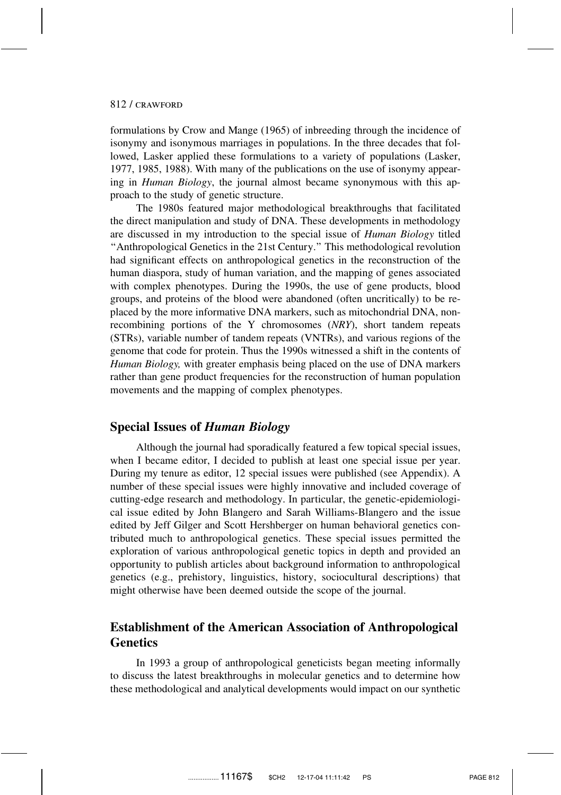formulations by Crow and Mange (1965) of inbreeding through the incidence of isonymy and isonymous marriages in populations. In the three decades that followed, Lasker applied these formulations to a variety of populations (Lasker, 1977, 1985, 1988). With many of the publications on the use of isonymy appearing in *Human Biology*, the journal almost became synonymous with this approach to the study of genetic structure.

The 1980s featured major methodological breakthroughs that facilitated the direct manipulation and study of DNA. These developments in methodology are discussed in my introduction to the special issue of *Human Biology* titled ''Anthropological Genetics in the 21st Century.'' This methodological revolution had significant effects on anthropological genetics in the reconstruction of the human diaspora, study of human variation, and the mapping of genes associated with complex phenotypes. During the 1990s, the use of gene products, blood groups, and proteins of the blood were abandoned (often uncritically) to be replaced by the more informative DNA markers, such as mitochondrial DNA, nonrecombining portions of the Y chromosomes (*NRY*), short tandem repeats (STRs), variable number of tandem repeats (VNTRs), and various regions of the genome that code for protein. Thus the 1990s witnessed a shift in the contents of *Human Biology,* with greater emphasis being placed on the use of DNA markers rather than gene product frequencies for the reconstruction of human population movements and the mapping of complex phenotypes.

## **Special Issues of** *Human Biology*

Although the journal had sporadically featured a few topical special issues, when I became editor, I decided to publish at least one special issue per year. During my tenure as editor, 12 special issues were published (see Appendix). A number of these special issues were highly innovative and included coverage of cutting-edge research and methodology. In particular, the genetic-epidemiological issue edited by John Blangero and Sarah Williams-Blangero and the issue edited by Jeff Gilger and Scott Hershberger on human behavioral genetics contributed much to anthropological genetics. These special issues permitted the exploration of various anthropological genetic topics in depth and provided an opportunity to publish articles about background information to anthropological genetics (e.g., prehistory, linguistics, history, sociocultural descriptions) that might otherwise have been deemed outside the scope of the journal.

# **Establishment of the American Association of Anthropological Genetics**

In 1993 a group of anthropological geneticists began meeting informally to discuss the latest breakthroughs in molecular genetics and to determine how these methodological and analytical developments would impact on our synthetic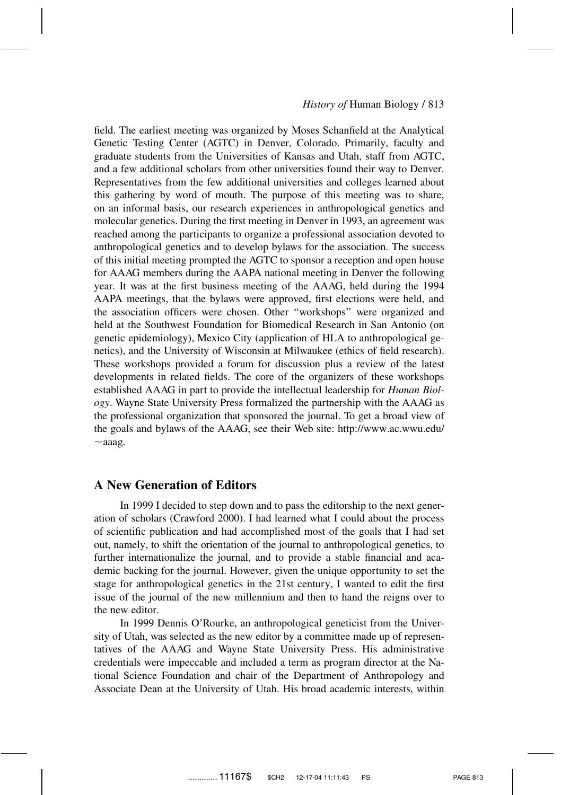field. The earliest meeting was organized by Moses Schanfield at the Analytical Genetic Testing Center (AGTC) in Denver, Colorado. Primarily, faculty and graduate students from the Universities of Kansas and Utah, staff from AGTC, and a few additional scholars from other universities found their way to Denver. Representatives from the few additional universities and colleges learned about this gathering by word of mouth. The purpose of this meeting was to share, on an informal basis, our research experiences in anthropological genetics and molecular genetics. During the first meeting in Denver in 1993, an agreement was reached among the participants to organize a professional association devoted to anthropological genetics and to develop bylaws for the association. The success of this initial meeting prompted the AGTC to sponsor a reception and open house for AAAG members during the AAPA national meeting in Denver the following year. It was at the first business meeting of the AAAG, held during the 1994 AAPA meetings, that the bylaws were approved, first elections were held, and the association officers were chosen. Other ''workshops'' were organized and held at the Southwest Foundation for Biomedical Research in San Antonio (on genetic epidemiology), Mexico City (application of HLA to anthropological genetics), and the University of Wisconsin at Milwaukee (ethics of field research). These workshops provided a forum for discussion plus a review of the latest developments in related fields. The core of the organizers of these workshops established AAAG in part to provide the intellectual leadership for *Human Biology*. Wayne State University Press formalized the partnership with the AAAG as the professional organization that sponsored the journal. To get a broad view of the goals and bylaws of the AAAG, see their Web site: http://www.ac.wwu.edu/  $\sim$ aaag.

## **A New Generation of Editors**

In 1999 I decided to step down and to pass the editorship to the next generation of scholars (Crawford 2000). I had learned what I could about the process of scientific publication and had accomplished most of the goals that I had set out, namely, to shift the orientation of the journal to anthropological genetics, to further internationalize the journal, and to provide a stable financial and academic backing for the journal. However, given the unique opportunity to set the stage for anthropological genetics in the 21st century, I wanted to edit the first issue of the journal of the new millennium and then to hand the reigns over to the new editor.

In 1999 Dennis O'Rourke, an anthropological geneticist from the University of Utah, was selected as the new editor by a committee made up of representatives of the AAAG and Wayne State University Press. His administrative credentials were impeccable and included a term as program director at the National Science Foundation and chair of the Department of Anthropology and Associate Dean at the University of Utah. His broad academic interests, within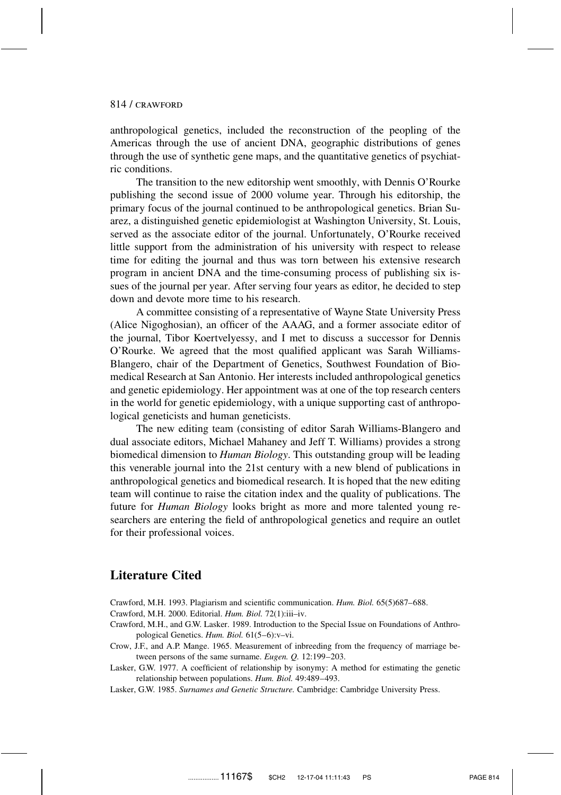anthropological genetics, included the reconstruction of the peopling of the Americas through the use of ancient DNA, geographic distributions of genes through the use of synthetic gene maps, and the quantitative genetics of psychiatric conditions.

The transition to the new editorship went smoothly, with Dennis O'Rourke publishing the second issue of 2000 volume year. Through his editorship, the primary focus of the journal continued to be anthropological genetics. Brian Suarez, a distinguished genetic epidemiologist at Washington University, St. Louis, served as the associate editor of the journal. Unfortunately, O'Rourke received little support from the administration of his university with respect to release time for editing the journal and thus was torn between his extensive research program in ancient DNA and the time-consuming process of publishing six issues of the journal per year. After serving four years as editor, he decided to step down and devote more time to his research.

A committee consisting of a representative of Wayne State University Press (Alice Nigoghosian), an officer of the AAAG, and a former associate editor of the journal, Tibor Koertvelyessy, and I met to discuss a successor for Dennis O'Rourke. We agreed that the most qualified applicant was Sarah Williams-Blangero, chair of the Department of Genetics, Southwest Foundation of Biomedical Research at San Antonio. Her interests included anthropological genetics and genetic epidemiology. Her appointment was at one of the top research centers in the world for genetic epidemiology, with a unique supporting cast of anthropological geneticists and human geneticists.

The new editing team (consisting of editor Sarah Williams-Blangero and dual associate editors, Michael Mahaney and Jeff T. Williams) provides a strong biomedical dimension to *Human Biology*. This outstanding group will be leading this venerable journal into the 21st century with a new blend of publications in anthropological genetics and biomedical research. It is hoped that the new editing team will continue to raise the citation index and the quality of publications. The future for *Human Biology* looks bright as more and more talented young researchers are entering the field of anthropological genetics and require an outlet for their professional voices.

## **Literature Cited**

- Crawford, M.H. 1993. Plagiarism and scientific communication. *Hum. Biol.* 65(5)687–688.
- Crawford, M.H. 2000. Editorial. *Hum. Biol.* 72(1):iii–iv.
- Crawford, M.H., and G.W. Lasker. 1989. Introduction to the Special Issue on Foundations of Anthropological Genetics. *Hum. Biol.* 61(5–6):v–vi.
- Crow, J.F., and A.P. Mange. 1965. Measurement of inbreeding from the frequency of marriage between persons of the same surname. *Eugen. Q.* 12:199–203.
- Lasker, G.W. 1977. A coefficient of relationship by isonymy: A method for estimating the genetic relationship between populations. *Hum. Biol.* 49:489–493.
- Lasker, G.W. 1985. *Surnames and Genetic Structure.* Cambridge: Cambridge University Press.